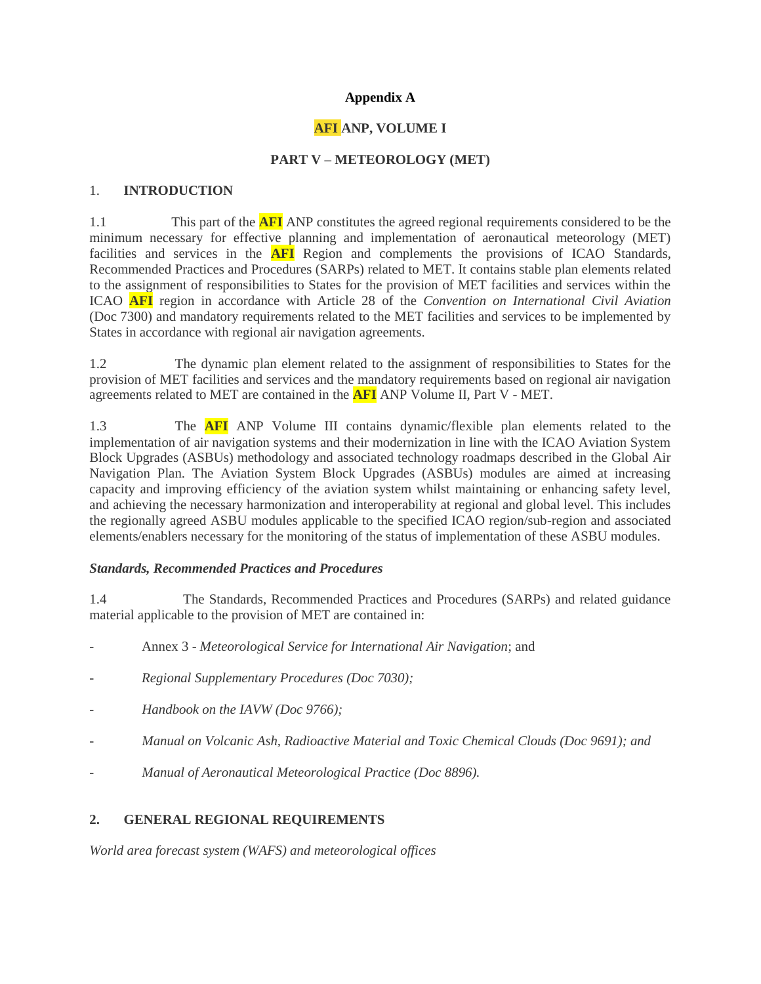### **Appendix A**

# **AFI ANP, VOLUME I**

### **PART V – METEOROLOGY (MET)**

#### 1. **INTRODUCTION**

1.1 This part of the **AFI** ANP constitutes the agreed regional requirements considered to be the minimum necessary for effective planning and implementation of aeronautical meteorology (MET) facilities and services in the **AFI** Region and complements the provisions of ICAO Standards, Recommended Practices and Procedures (SARPs) related to MET. It contains stable plan elements related to the assignment of responsibilities to States for the provision of MET facilities and services within the ICAO **AFI** region in accordance with Article 28 of the *Convention on International Civil Aviation* (Doc 7300) and mandatory requirements related to the MET facilities and services to be implemented by States in accordance with regional air navigation agreements.

1.2 The dynamic plan element related to the assignment of responsibilities to States for the provision of MET facilities and services and the mandatory requirements based on regional air navigation agreements related to MET are contained in the **AFI** ANP Volume II, Part V - MET.

1.3 The **AFI** ANP Volume III contains dynamic/flexible plan elements related to the implementation of air navigation systems and their modernization in line with the ICAO Aviation System Block Upgrades (ASBUs) methodology and associated technology roadmaps described in the Global Air Navigation Plan. The Aviation System Block Upgrades (ASBUs) modules are aimed at increasing capacity and improving efficiency of the aviation system whilst maintaining or enhancing safety level, and achieving the necessary harmonization and interoperability at regional and global level. This includes the regionally agreed ASBU modules applicable to the specified ICAO region/sub-region and associated elements/enablers necessary for the monitoring of the status of implementation of these ASBU modules.

#### *Standards, Recommended Practices and Procedures*

1.4 The Standards, Recommended Practices and Procedures (SARPs) and related guidance material applicable to the provision of MET are contained in:

- Annex 3 *Meteorological Service for International Air Navigation*; and
- *Regional Supplementary Procedures (Doc 7030);*
- *- Handbook on the IAVW (Doc 9766);*
- *- Manual on Volcanic Ash, Radioactive Material and Toxic Chemical Clouds (Doc 9691); and*
- *- Manual of Aeronautical Meteorological Practice (Doc 8896).*

## **2. GENERAL REGIONAL REQUIREMENTS**

*World area forecast system (WAFS) and meteorological offices*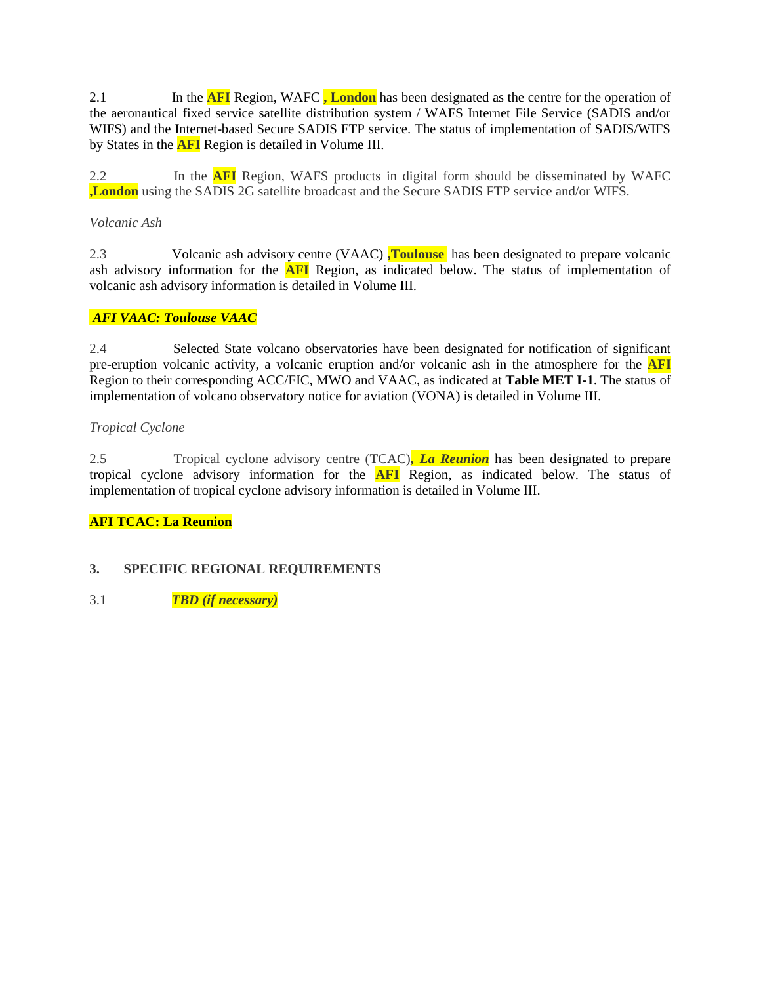2.1 In the **AFI** Region, WAFC **, London** has been designated as the centre for the operation of the aeronautical fixed service satellite distribution system / WAFS Internet File Service (SADIS and/or WIFS) and the Internet-based Secure SADIS FTP service. The status of implementation of SADIS/WIFS by States in the **AFI** Region is detailed in Volume III.

2.2 In the **AFI** Region, WAFS products in digital form should be disseminated by WAFC **,London** using the SADIS 2G satellite broadcast and the Secure SADIS FTP service and/or WIFS.

### *Volcanic Ash*

2.3 Volcanic ash advisory centre (VAAC) **,Toulouse** has been designated to prepare volcanic ash advisory information for the **AFI** Region, as indicated below. The status of implementation of volcanic ash advisory information is detailed in Volume III.

## *AFI VAAC: Toulouse VAAC*

2.4 Selected State volcano observatories have been designated for notification of significant pre-eruption volcanic activity, a volcanic eruption and/or volcanic ash in the atmosphere for the **AFI** Region to their corresponding ACC/FIC, MWO and VAAC, as indicated at **Table MET I-1**. The status of implementation of volcano observatory notice for aviation (VONA) is detailed in Volume III.

#### *Tropical Cyclone*

2.5 Tropical cyclone advisory centre (TCAC)*, La Reunion* has been designated to prepare tropical cyclone advisory information for the **AFI** Region, as indicated below. The status of implementation of tropical cyclone advisory information is detailed in Volume III.

## **AFI TCAC: La Reunion**

#### **3. SPECIFIC REGIONAL REQUIREMENTS**

3.1 *TBD (if necessary)*